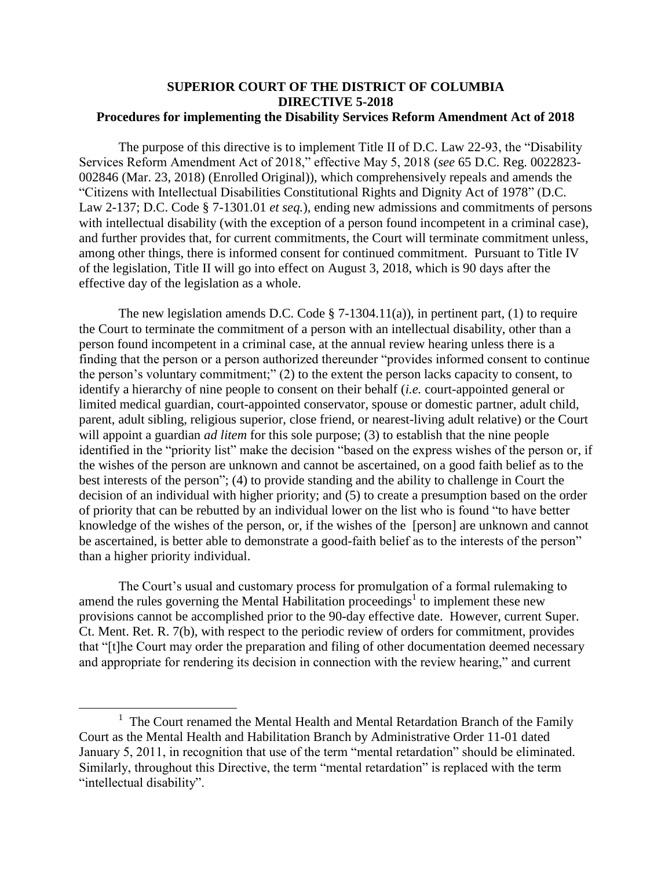## **SUPERIOR COURT OF THE DISTRICT OF COLUMBIA DIRECTIVE 5-2018 Procedures for implementing the Disability Services Reform Amendment Act of 2018**

The purpose of this directive is to implement Title II of D.C. Law 22-93, the "Disability Services Reform Amendment Act of 2018," effective May 5, 2018 (*see* 65 D.C. Reg. 0022823- 002846 (Mar. 23, 2018) (Enrolled Original)), which comprehensively repeals and amends the "Citizens with Intellectual Disabilities Constitutional Rights and Dignity Act of 1978" (D.C. Law 2-137; D.C. Code § 7-1301.01 *et seq.*), ending new admissions and commitments of persons with intellectual disability (with the exception of a person found incompetent in a criminal case), and further provides that, for current commitments, the Court will terminate commitment unless, among other things, there is informed consent for continued commitment. Pursuant to Title IV of the legislation, Title II will go into effect on August 3, 2018, which is 90 days after the effective day of the legislation as a whole.

The new legislation amends D.C. Code  $\S$  7-1304.11(a)), in pertinent part, (1) to require the Court to terminate the commitment of a person with an intellectual disability, other than a person found incompetent in a criminal case, at the annual review hearing unless there is a finding that the person or a person authorized thereunder "provides informed consent to continue the person's voluntary commitment;" (2) to the extent the person lacks capacity to consent, to identify a hierarchy of nine people to consent on their behalf (*i.e.* court-appointed general or limited medical guardian, court-appointed conservator, spouse or domestic partner, adult child, parent, adult sibling, religious superior, close friend, or nearest-living adult relative) or the Court will appoint a guardian *ad litem* for this sole purpose; (3) to establish that the nine people identified in the "priority list" make the decision "based on the express wishes of the person or, if the wishes of the person are unknown and cannot be ascertained, on a good faith belief as to the best interests of the person"; (4) to provide standing and the ability to challenge in Court the decision of an individual with higher priority; and (5) to create a presumption based on the order of priority that can be rebutted by an individual lower on the list who is found "to have better knowledge of the wishes of the person, or, if the wishes of the [person] are unknown and cannot be ascertained, is better able to demonstrate a good-faith belief as to the interests of the person" than a higher priority individual.

The Court's usual and customary process for promulgation of a formal rulemaking to amend the rules governing the Mental Habilitation proceedings<sup>1</sup> to implement these new provisions cannot be accomplished prior to the 90-day effective date. However, current Super. Ct. Ment. Ret. R. 7(b), with respect to the periodic review of orders for commitment, provides that "[t]he Court may order the preparation and filing of other documentation deemed necessary and appropriate for rendering its decision in connection with the review hearing," and current

l

<sup>&</sup>lt;sup>1</sup> The Court renamed the Mental Health and Mental Retardation Branch of the Family Court as the Mental Health and Habilitation Branch by Administrative Order 11-01 dated January 5, 2011, in recognition that use of the term "mental retardation" should be eliminated. Similarly, throughout this Directive, the term "mental retardation" is replaced with the term "intellectual disability".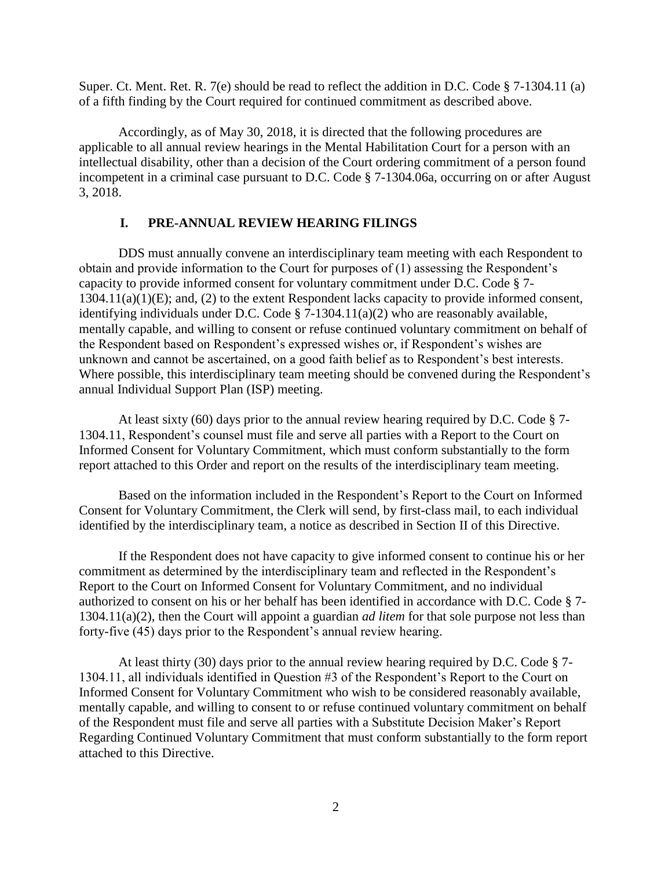Super. Ct. Ment. Ret. R. 7(e) should be read to reflect the addition in D.C. Code  $\S$  7-1304.11 (a) of a fifth finding by the Court required for continued commitment as described above.

Accordingly, as of May 30, 2018, it is directed that the following procedures are applicable to all annual review hearings in the Mental Habilitation Court for a person with an intellectual disability, other than a decision of the Court ordering commitment of a person found incompetent in a criminal case pursuant to D.C. Code § 7-1304.06a, occurring on or after August 3, 2018.

## **I. PRE-ANNUAL REVIEW HEARING FILINGS**

DDS must annually convene an interdisciplinary team meeting with each Respondent to obtain and provide information to the Court for purposes of (1) assessing the Respondent's capacity to provide informed consent for voluntary commitment under D.C. Code § 7-  $1304.11(a)(1)(E)$ ; and, (2) to the extent Respondent lacks capacity to provide informed consent, identifying individuals under D.C. Code  $\S$  7-1304.11(a)(2) who are reasonably available, mentally capable, and willing to consent or refuse continued voluntary commitment on behalf of the Respondent based on Respondent's expressed wishes or, if Respondent's wishes are unknown and cannot be ascertained, on a good faith belief as to Respondent's best interests. Where possible, this interdisciplinary team meeting should be convened during the Respondent's annual Individual Support Plan (ISP) meeting.

At least sixty (60) days prior to the annual review hearing required by D.C. Code § 7- 1304.11, Respondent's counsel must file and serve all parties with a Report to the Court on Informed Consent for Voluntary Commitment, which must conform substantially to the form report attached to this Order and report on the results of the interdisciplinary team meeting.

Based on the information included in the Respondent's Report to the Court on Informed Consent for Voluntary Commitment, the Clerk will send, by first-class mail, to each individual identified by the interdisciplinary team, a notice as described in Section II of this Directive.

If the Respondent does not have capacity to give informed consent to continue his or her commitment as determined by the interdisciplinary team and reflected in the Respondent's Report to the Court on Informed Consent for Voluntary Commitment, and no individual authorized to consent on his or her behalf has been identified in accordance with D.C. Code § 7- 1304.11(a)(2), then the Court will appoint a guardian *ad litem* for that sole purpose not less than forty-five (45) days prior to the Respondent's annual review hearing.

At least thirty (30) days prior to the annual review hearing required by D.C. Code § 7- 1304.11, all individuals identified in Question #3 of the Respondent's Report to the Court on Informed Consent for Voluntary Commitment who wish to be considered reasonably available, mentally capable, and willing to consent to or refuse continued voluntary commitment on behalf of the Respondent must file and serve all parties with a Substitute Decision Maker's Report Regarding Continued Voluntary Commitment that must conform substantially to the form report attached to this Directive.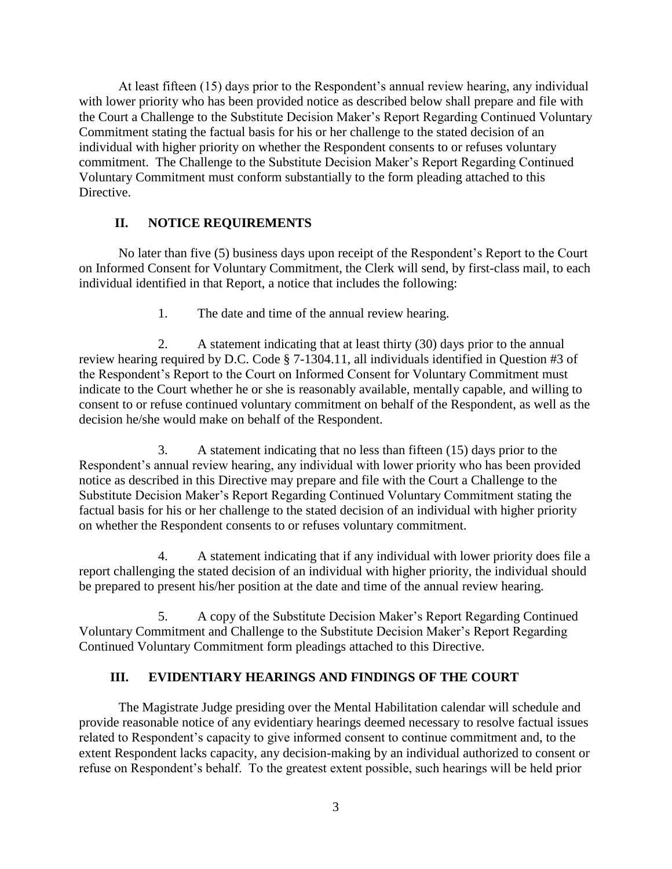At least fifteen (15) days prior to the Respondent's annual review hearing, any individual with lower priority who has been provided notice as described below shall prepare and file with the Court a Challenge to the Substitute Decision Maker's Report Regarding Continued Voluntary Commitment stating the factual basis for his or her challenge to the stated decision of an individual with higher priority on whether the Respondent consents to or refuses voluntary commitment. The Challenge to the Substitute Decision Maker's Report Regarding Continued Voluntary Commitment must conform substantially to the form pleading attached to this Directive.

## **II. NOTICE REQUIREMENTS**

No later than five (5) business days upon receipt of the Respondent's Report to the Court on Informed Consent for Voluntary Commitment, the Clerk will send, by first-class mail, to each individual identified in that Report, a notice that includes the following:

1. The date and time of the annual review hearing.

2. A statement indicating that at least thirty (30) days prior to the annual review hearing required by D.C. Code § 7-1304.11, all individuals identified in Question #3 of the Respondent's Report to the Court on Informed Consent for Voluntary Commitment must indicate to the Court whether he or she is reasonably available, mentally capable, and willing to consent to or refuse continued voluntary commitment on behalf of the Respondent, as well as the decision he/she would make on behalf of the Respondent.

3. A statement indicating that no less than fifteen (15) days prior to the Respondent's annual review hearing, any individual with lower priority who has been provided notice as described in this Directive may prepare and file with the Court a Challenge to the Substitute Decision Maker's Report Regarding Continued Voluntary Commitment stating the factual basis for his or her challenge to the stated decision of an individual with higher priority on whether the Respondent consents to or refuses voluntary commitment.

4. A statement indicating that if any individual with lower priority does file a report challenging the stated decision of an individual with higher priority, the individual should be prepared to present his/her position at the date and time of the annual review hearing.

5. A copy of the Substitute Decision Maker's Report Regarding Continued Voluntary Commitment and Challenge to the Substitute Decision Maker's Report Regarding Continued Voluntary Commitment form pleadings attached to this Directive.

## **III. EVIDENTIARY HEARINGS AND FINDINGS OF THE COURT**

The Magistrate Judge presiding over the Mental Habilitation calendar will schedule and provide reasonable notice of any evidentiary hearings deemed necessary to resolve factual issues related to Respondent's capacity to give informed consent to continue commitment and, to the extent Respondent lacks capacity, any decision-making by an individual authorized to consent or refuse on Respondent's behalf. To the greatest extent possible, such hearings will be held prior